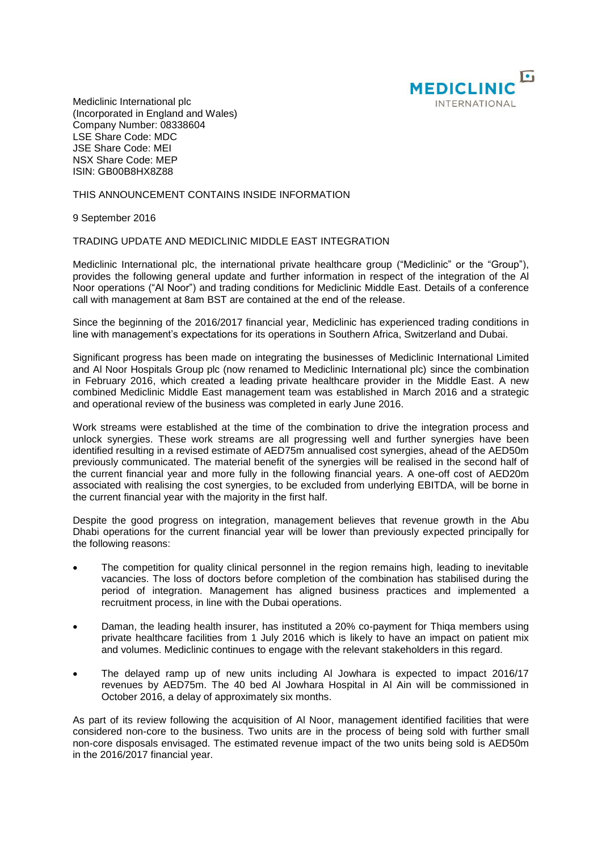

Mediclinic International plc (Incorporated in England and Wales) Company Number: 08338604 LSE Share Code: MDC JSE Share Code: MEI NSX Share Code: MEP ISIN: GB00B8HX8Z88

## THIS ANNOUNCEMENT CONTAINS INSIDE INFORMATION

9 September 2016

## TRADING UPDATE AND MEDICLINIC MIDDLE EAST INTEGRATION

Mediclinic International plc, the international private healthcare group ("Mediclinic" or the "Group"), provides the following general update and further information in respect of the integration of the Al Noor operations ("Al Noor") and trading conditions for Mediclinic Middle East. Details of a conference call with management at 8am BST are contained at the end of the release.

Since the beginning of the 2016/2017 financial year, Mediclinic has experienced trading conditions in line with management's expectations for its operations in Southern Africa, Switzerland and Dubai.

Significant progress has been made on integrating the businesses of Mediclinic International Limited and Al Noor Hospitals Group plc (now renamed to Mediclinic International plc) since the combination in February 2016, which created a leading private healthcare provider in the Middle East. A new combined Mediclinic Middle East management team was established in March 2016 and a strategic and operational review of the business was completed in early June 2016.

Work streams were established at the time of the combination to drive the integration process and unlock synergies. These work streams are all progressing well and further synergies have been identified resulting in a revised estimate of AED75m annualised cost synergies, ahead of the AED50m previously communicated. The material benefit of the synergies will be realised in the second half of the current financial year and more fully in the following financial years. A one-off cost of AED20m associated with realising the cost synergies, to be excluded from underlying EBITDA, will be borne in the current financial year with the majority in the first half.

Despite the good progress on integration, management believes that revenue growth in the Abu Dhabi operations for the current financial year will be lower than previously expected principally for the following reasons:

- The competition for quality clinical personnel in the region remains high, leading to inevitable vacancies. The loss of doctors before completion of the combination has stabilised during the period of integration. Management has aligned business practices and implemented a recruitment process, in line with the Dubai operations.
- Daman, the leading health insurer, has instituted a 20% co-payment for Thiqa members using private healthcare facilities from 1 July 2016 which is likely to have an impact on patient mix and volumes. Mediclinic continues to engage with the relevant stakeholders in this regard.
- The delayed ramp up of new units including Al Jowhara is expected to impact 2016/17 revenues by AED75m. The 40 bed Al Jowhara Hospital in Al Ain will be commissioned in October 2016, a delay of approximately six months.

As part of its review following the acquisition of Al Noor, management identified facilities that were considered non-core to the business. Two units are in the process of being sold with further small non-core disposals envisaged. The estimated revenue impact of the two units being sold is AED50m in the 2016/2017 financial year.